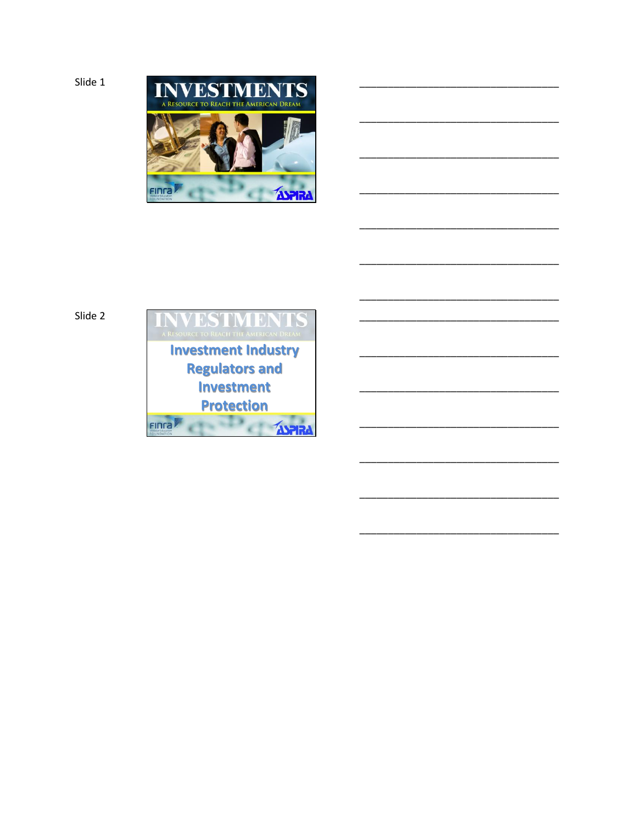```
Slide 1
```


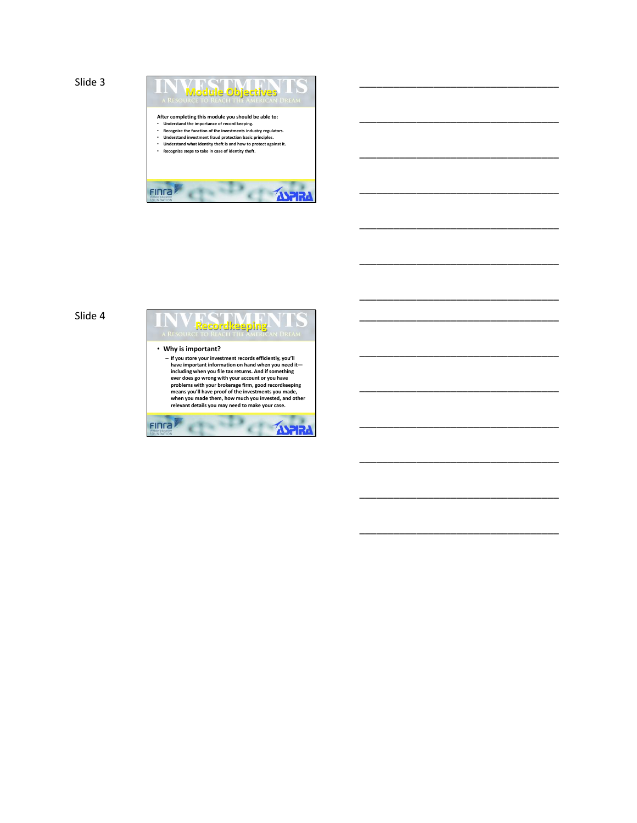

\_\_\_\_\_\_\_\_\_\_\_\_\_\_\_\_\_\_\_\_\_\_\_\_\_\_\_\_\_\_\_\_\_\_\_

\_\_\_\_\_\_\_\_\_\_\_\_\_\_\_\_\_\_\_\_\_\_\_\_\_\_\_\_\_\_\_\_\_\_\_

\_\_\_\_\_\_\_\_\_\_\_\_\_\_\_\_\_\_\_\_\_\_\_\_\_\_\_\_\_\_\_\_\_\_\_

\_\_\_\_\_\_\_\_\_\_\_\_\_\_\_\_\_\_\_\_\_\_\_\_\_\_\_\_\_\_\_\_\_\_\_

\_\_\_\_\_\_\_\_\_\_\_\_\_\_\_\_\_\_\_\_\_\_\_\_\_\_\_\_\_\_\_\_\_\_\_

\_\_\_\_\_\_\_\_\_\_\_\_\_\_\_\_\_\_\_\_\_\_\_\_\_\_\_\_\_\_\_\_\_\_\_

\_\_\_\_\_\_\_\_\_\_\_\_\_\_\_\_\_\_\_\_\_\_\_\_\_\_\_\_\_\_\_\_\_\_\_

\_\_\_\_\_\_\_\_\_\_\_\_\_\_\_\_\_\_\_\_\_\_\_\_\_\_\_\_\_\_\_\_\_\_\_

\_\_\_\_\_\_\_\_\_\_\_\_\_\_\_\_\_\_\_\_\_\_\_\_\_\_\_\_\_\_\_\_\_\_\_

\_\_\_\_\_\_\_\_\_\_\_\_\_\_\_\_\_\_\_\_\_\_\_\_\_\_\_\_\_\_\_\_\_\_\_

\_\_\_\_\_\_\_\_\_\_\_\_\_\_\_\_\_\_\_\_\_\_\_\_\_\_\_\_\_\_\_\_\_\_\_

\_\_\_\_\_\_\_\_\_\_\_\_\_\_\_\_\_\_\_\_\_\_\_\_\_\_\_\_\_\_\_\_\_\_\_

\_\_\_\_\_\_\_\_\_\_\_\_\_\_\_\_\_\_\_\_\_\_\_\_\_\_\_\_\_\_\_\_\_\_\_

\_\_\_\_\_\_\_\_\_\_\_\_\_\_\_\_\_\_\_\_\_\_\_\_\_\_\_\_\_\_\_\_\_\_\_

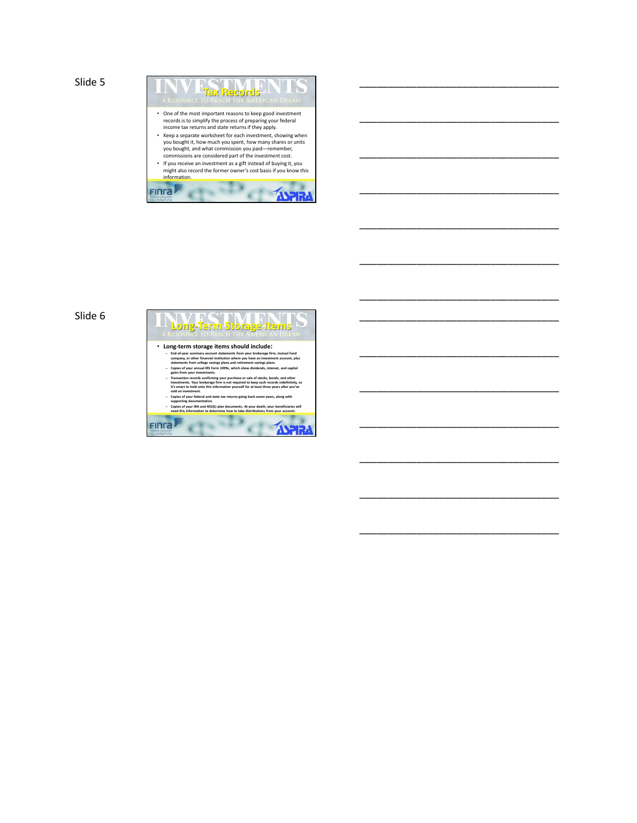

\_\_\_\_\_\_\_\_\_\_\_\_\_\_\_\_\_\_\_\_\_\_\_\_\_\_\_\_\_\_\_\_\_\_\_

\_\_\_\_\_\_\_\_\_\_\_\_\_\_\_\_\_\_\_\_\_\_\_\_\_\_\_\_\_\_\_\_\_\_\_

\_\_\_\_\_\_\_\_\_\_\_\_\_\_\_\_\_\_\_\_\_\_\_\_\_\_\_\_\_\_\_\_\_\_\_

\_\_\_\_\_\_\_\_\_\_\_\_\_\_\_\_\_\_\_\_\_\_\_\_\_\_\_\_\_\_\_\_\_\_\_

\_\_\_\_\_\_\_\_\_\_\_\_\_\_\_\_\_\_\_\_\_\_\_\_\_\_\_\_\_\_\_\_\_\_\_

\_\_\_\_\_\_\_\_\_\_\_\_\_\_\_\_\_\_\_\_\_\_\_\_\_\_\_\_\_\_\_\_\_\_\_

\_\_\_\_\_\_\_\_\_\_\_\_\_\_\_\_\_\_\_\_\_\_\_\_\_\_\_\_\_\_\_\_\_\_\_

\_\_\_\_\_\_\_\_\_\_\_\_\_\_\_\_\_\_\_\_\_\_\_\_\_\_\_\_\_\_\_\_\_\_\_

\_\_\_\_\_\_\_\_\_\_\_\_\_\_\_\_\_\_\_\_\_\_\_\_\_\_\_\_\_\_\_\_\_\_\_

\_\_\_\_\_\_\_\_\_\_\_\_\_\_\_\_\_\_\_\_\_\_\_\_\_\_\_\_\_\_\_\_\_\_\_

\_\_\_\_\_\_\_\_\_\_\_\_\_\_\_\_\_\_\_\_\_\_\_\_\_\_\_\_\_\_\_\_\_\_\_

\_\_\_\_\_\_\_\_\_\_\_\_\_\_\_\_\_\_\_\_\_\_\_\_\_\_\_\_\_\_\_\_\_\_\_

\_\_\_\_\_\_\_\_\_\_\_\_\_\_\_\_\_\_\_\_\_\_\_\_\_\_\_\_\_\_\_\_\_\_\_

\_\_\_\_\_\_\_\_\_\_\_\_\_\_\_\_\_\_\_\_\_\_\_\_\_\_\_\_\_\_\_\_\_\_\_

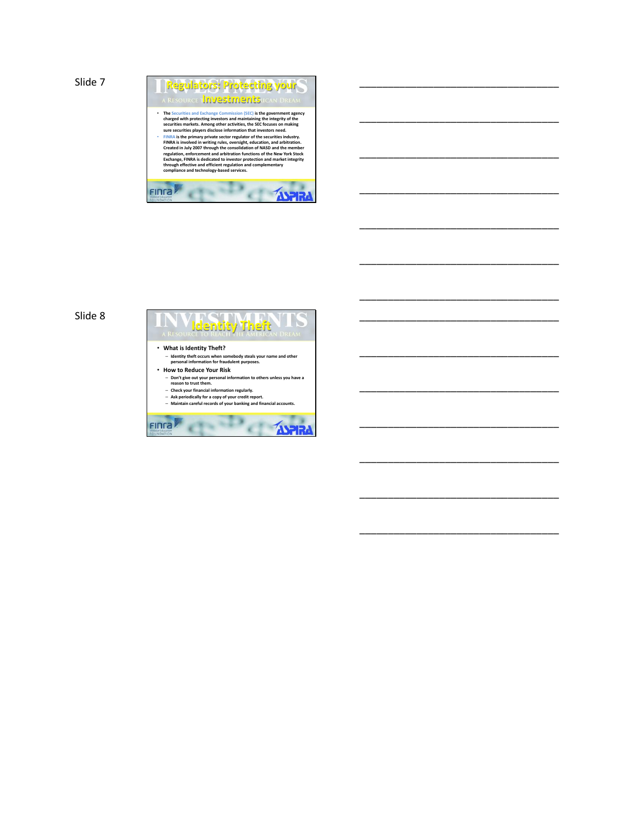

\_\_\_\_\_\_\_\_\_\_\_\_\_\_\_\_\_\_\_\_\_\_\_\_\_\_\_\_\_\_\_\_\_\_\_

\_\_\_\_\_\_\_\_\_\_\_\_\_\_\_\_\_\_\_\_\_\_\_\_\_\_\_\_\_\_\_\_\_\_\_

\_\_\_\_\_\_\_\_\_\_\_\_\_\_\_\_\_\_\_\_\_\_\_\_\_\_\_\_\_\_\_\_\_\_\_

\_\_\_\_\_\_\_\_\_\_\_\_\_\_\_\_\_\_\_\_\_\_\_\_\_\_\_\_\_\_\_\_\_\_\_

\_\_\_\_\_\_\_\_\_\_\_\_\_\_\_\_\_\_\_\_\_\_\_\_\_\_\_\_\_\_\_\_\_\_\_

\_\_\_\_\_\_\_\_\_\_\_\_\_\_\_\_\_\_\_\_\_\_\_\_\_\_\_\_\_\_\_\_\_\_\_

\_\_\_\_\_\_\_\_\_\_\_\_\_\_\_\_\_\_\_\_\_\_\_\_\_\_\_\_\_\_\_\_\_\_\_

\_\_\_\_\_\_\_\_\_\_\_\_\_\_\_\_\_\_\_\_\_\_\_\_\_\_\_\_\_\_\_\_\_\_\_

\_\_\_\_\_\_\_\_\_\_\_\_\_\_\_\_\_\_\_\_\_\_\_\_\_\_\_\_\_\_\_\_\_\_\_

\_\_\_\_\_\_\_\_\_\_\_\_\_\_\_\_\_\_\_\_\_\_\_\_\_\_\_\_\_\_\_\_\_\_\_

\_\_\_\_\_\_\_\_\_\_\_\_\_\_\_\_\_\_\_\_\_\_\_\_\_\_\_\_\_\_\_\_\_\_\_

\_\_\_\_\_\_\_\_\_\_\_\_\_\_\_\_\_\_\_\_\_\_\_\_\_\_\_\_\_\_\_\_\_\_\_

\_\_\_\_\_\_\_\_\_\_\_\_\_\_\_\_\_\_\_\_\_\_\_\_\_\_\_\_\_\_\_\_\_\_\_

\_\_\_\_\_\_\_\_\_\_\_\_\_\_\_\_\_\_\_\_\_\_\_\_\_\_\_\_\_\_\_\_\_\_\_

## Slide 8

# **Identity Theft** • **What is Identity Theft?** – **Identity theft occurs when somebody steals your name and other personal information for fraudulent purposes.**  • **How to Reduce Your Risk** – **Don't give out your personal information to others unless you have a reason to trust them.** – **Check your financial information regularly.** – **Ask periodically for a copy of your credit report.** – **Maintain careful records of your banking and financial accounts.**  FINCE TO THE TANK OF THE TANK OF THE TABLE TO THE TANK OF THE TABLE TANK OF THE TABLE TANK OF THE TANK OF THE TANK OF THE TANK OF THE TANK OF THE TANK OF THE TANK OF THE TANK OF THE TANK OF TANK OF THE TANK OF TANK OF TANK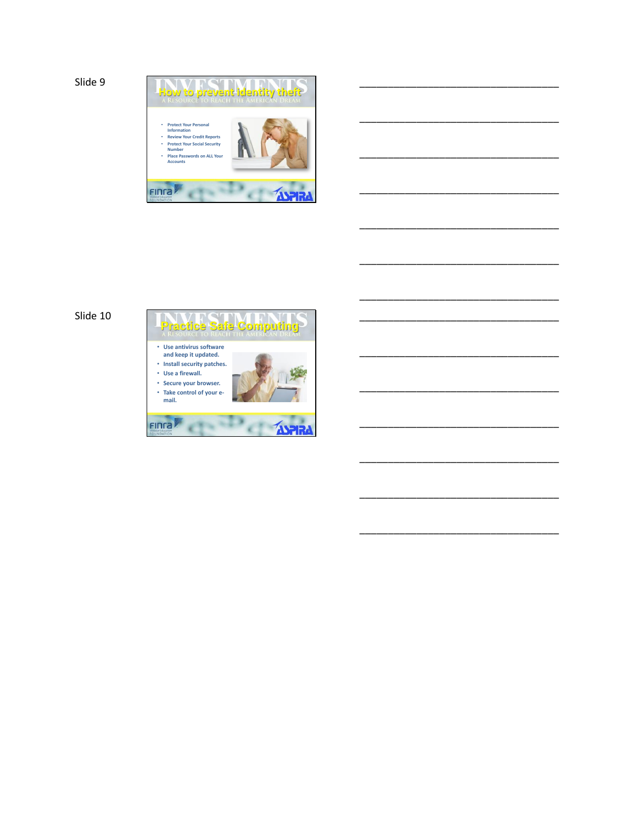```
Slide 9
```


\_\_\_\_\_\_\_\_\_\_\_\_\_\_\_\_\_\_\_\_\_\_\_\_\_\_\_\_\_\_\_\_\_\_\_

\_\_\_\_\_\_\_\_\_\_\_\_\_\_\_\_\_\_\_\_\_\_\_\_\_\_\_\_\_\_\_\_\_\_\_

\_\_\_\_\_\_\_\_\_\_\_\_\_\_\_\_\_\_\_\_\_\_\_\_\_\_\_\_\_\_\_\_\_\_\_

\_\_\_\_\_\_\_\_\_\_\_\_\_\_\_\_\_\_\_\_\_\_\_\_\_\_\_\_\_\_\_\_\_\_\_

\_\_\_\_\_\_\_\_\_\_\_\_\_\_\_\_\_\_\_\_\_\_\_\_\_\_\_\_\_\_\_\_\_\_\_

\_\_\_\_\_\_\_\_\_\_\_\_\_\_\_\_\_\_\_\_\_\_\_\_\_\_\_\_\_\_\_\_\_\_\_

\_\_\_\_\_\_\_\_\_\_\_\_\_\_\_\_\_\_\_\_\_\_\_\_\_\_\_\_\_\_\_\_\_\_\_

\_\_\_\_\_\_\_\_\_\_\_\_\_\_\_\_\_\_\_\_\_\_\_\_\_\_\_\_\_\_\_\_\_\_\_

\_\_\_\_\_\_\_\_\_\_\_\_\_\_\_\_\_\_\_\_\_\_\_\_\_\_\_\_\_\_\_\_\_\_\_

\_\_\_\_\_\_\_\_\_\_\_\_\_\_\_\_\_\_\_\_\_\_\_\_\_\_\_\_\_\_\_\_\_\_\_

\_\_\_\_\_\_\_\_\_\_\_\_\_\_\_\_\_\_\_\_\_\_\_\_\_\_\_\_\_\_\_\_\_\_\_

\_\_\_\_\_\_\_\_\_\_\_\_\_\_\_\_\_\_\_\_\_\_\_\_\_\_\_\_\_\_\_\_\_\_\_

\_\_\_\_\_\_\_\_\_\_\_\_\_\_\_\_\_\_\_\_\_\_\_\_\_\_\_\_\_\_\_\_\_\_\_

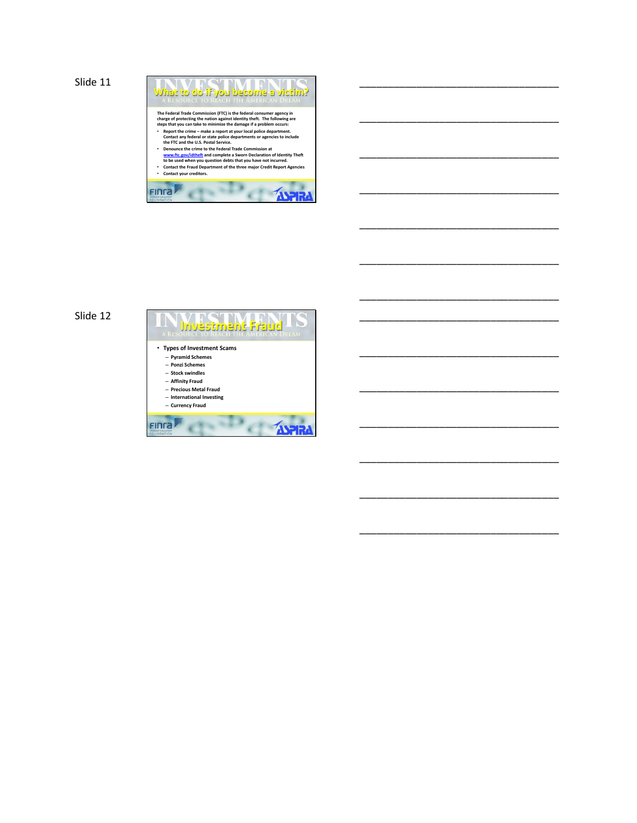```
Slide 11
                                                           What to do if you become a victim?
                                                             The Federal Trade Commission (FTC) is the federal consumer agency in<br>charge of protecting the nation against identity theft. The following are<br>steps that you can take to minimize the damage if a problem occurs:<br>
"Report th
                                                     FING
```
\_\_\_\_\_\_\_\_\_\_\_\_\_\_\_\_\_\_\_\_\_\_\_\_\_\_\_\_\_\_\_\_\_\_\_

\_\_\_\_\_\_\_\_\_\_\_\_\_\_\_\_\_\_\_\_\_\_\_\_\_\_\_\_\_\_\_\_\_\_\_

\_\_\_\_\_\_\_\_\_\_\_\_\_\_\_\_\_\_\_\_\_\_\_\_\_\_\_\_\_\_\_\_\_\_\_

\_\_\_\_\_\_\_\_\_\_\_\_\_\_\_\_\_\_\_\_\_\_\_\_\_\_\_\_\_\_\_\_\_\_\_

\_\_\_\_\_\_\_\_\_\_\_\_\_\_\_\_\_\_\_\_\_\_\_\_\_\_\_\_\_\_\_\_\_\_\_

\_\_\_\_\_\_\_\_\_\_\_\_\_\_\_\_\_\_\_\_\_\_\_\_\_\_\_\_\_\_\_\_\_\_\_

\_\_\_\_\_\_\_\_\_\_\_\_\_\_\_\_\_\_\_\_\_\_\_\_\_\_\_\_\_\_\_\_\_\_\_

\_\_\_\_\_\_\_\_\_\_\_\_\_\_\_\_\_\_\_\_\_\_\_\_\_\_\_\_\_\_\_\_\_\_\_

\_\_\_\_\_\_\_\_\_\_\_\_\_\_\_\_\_\_\_\_\_\_\_\_\_\_\_\_\_\_\_\_\_\_\_

\_\_\_\_\_\_\_\_\_\_\_\_\_\_\_\_\_\_\_\_\_\_\_\_\_\_\_\_\_\_\_\_\_\_\_

\_\_\_\_\_\_\_\_\_\_\_\_\_\_\_\_\_\_\_\_\_\_\_\_\_\_\_\_\_\_\_\_\_\_\_

\_\_\_\_\_\_\_\_\_\_\_\_\_\_\_\_\_\_\_\_\_\_\_\_\_\_\_\_\_\_\_\_\_\_\_

\_\_\_\_\_\_\_\_\_\_\_\_\_\_\_\_\_\_\_\_\_\_\_\_\_\_\_\_\_\_\_\_\_\_\_

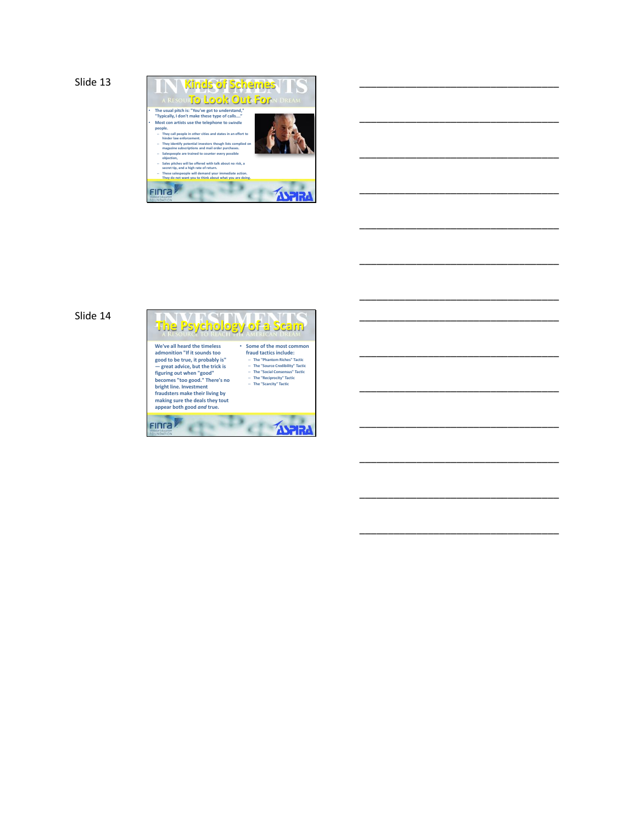```
Slide 13
```


\_\_\_\_\_\_\_\_\_\_\_\_\_\_\_\_\_\_\_\_\_\_\_\_\_\_\_\_\_\_\_\_\_\_\_

\_\_\_\_\_\_\_\_\_\_\_\_\_\_\_\_\_\_\_\_\_\_\_\_\_\_\_\_\_\_\_\_\_\_\_

\_\_\_\_\_\_\_\_\_\_\_\_\_\_\_\_\_\_\_\_\_\_\_\_\_\_\_\_\_\_\_\_\_\_\_

\_\_\_\_\_\_\_\_\_\_\_\_\_\_\_\_\_\_\_\_\_\_\_\_\_\_\_\_\_\_\_\_\_\_\_

\_\_\_\_\_\_\_\_\_\_\_\_\_\_\_\_\_\_\_\_\_\_\_\_\_\_\_\_\_\_\_\_\_\_\_

\_\_\_\_\_\_\_\_\_\_\_\_\_\_\_\_\_\_\_\_\_\_\_\_\_\_\_\_\_\_\_\_\_\_\_

\_\_\_\_\_\_\_\_\_\_\_\_\_\_\_\_\_\_\_\_\_\_\_\_\_\_\_\_\_\_\_\_\_\_\_

\_\_\_\_\_\_\_\_\_\_\_\_\_\_\_\_\_\_\_\_\_\_\_\_\_\_\_\_\_\_\_\_\_\_\_

\_\_\_\_\_\_\_\_\_\_\_\_\_\_\_\_\_\_\_\_\_\_\_\_\_\_\_\_\_\_\_\_\_\_\_

\_\_\_\_\_\_\_\_\_\_\_\_\_\_\_\_\_\_\_\_\_\_\_\_\_\_\_\_\_\_\_\_\_\_\_

\_\_\_\_\_\_\_\_\_\_\_\_\_\_\_\_\_\_\_\_\_\_\_\_\_\_\_\_\_\_\_\_\_\_\_

\_\_\_\_\_\_\_\_\_\_\_\_\_\_\_\_\_\_\_\_\_\_\_\_\_\_\_\_\_\_\_\_\_\_\_

\_\_\_\_\_\_\_\_\_\_\_\_\_\_\_\_\_\_\_\_\_\_\_\_\_\_\_\_\_\_\_\_\_\_\_

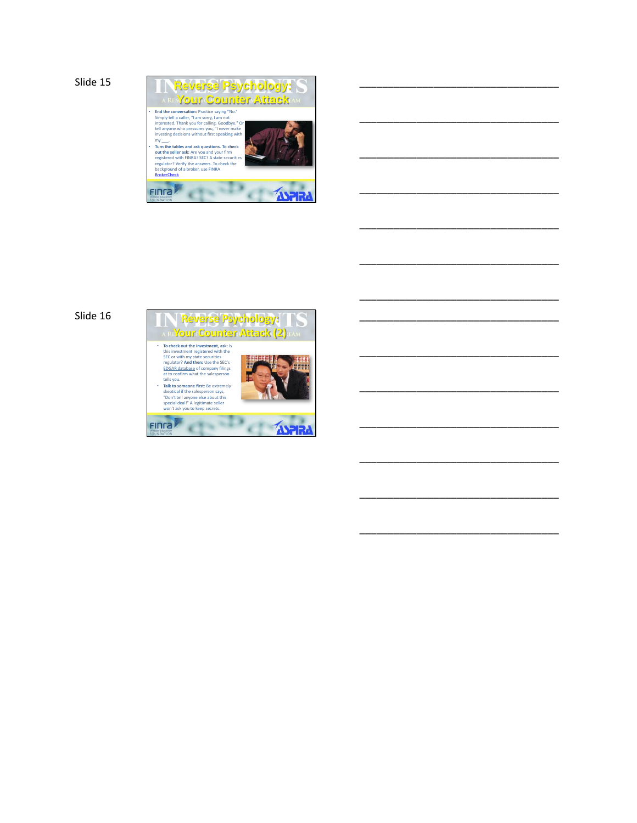```
Slide 15
```


\_\_\_\_\_\_\_\_\_\_\_\_\_\_\_\_\_\_\_\_\_\_\_\_\_\_\_\_\_\_\_\_\_\_\_

\_\_\_\_\_\_\_\_\_\_\_\_\_\_\_\_\_\_\_\_\_\_\_\_\_\_\_\_\_\_\_\_\_\_\_

\_\_\_\_\_\_\_\_\_\_\_\_\_\_\_\_\_\_\_\_\_\_\_\_\_\_\_\_\_\_\_\_\_\_\_

\_\_\_\_\_\_\_\_\_\_\_\_\_\_\_\_\_\_\_\_\_\_\_\_\_\_\_\_\_\_\_\_\_\_\_

\_\_\_\_\_\_\_\_\_\_\_\_\_\_\_\_\_\_\_\_\_\_\_\_\_\_\_\_\_\_\_\_\_\_\_

\_\_\_\_\_\_\_\_\_\_\_\_\_\_\_\_\_\_\_\_\_\_\_\_\_\_\_\_\_\_\_\_\_\_\_

\_\_\_\_\_\_\_\_\_\_\_\_\_\_\_\_\_\_\_\_\_\_\_\_\_\_\_\_\_\_\_\_\_\_\_

\_\_\_\_\_\_\_\_\_\_\_\_\_\_\_\_\_\_\_\_\_\_\_\_\_\_\_\_\_\_\_\_\_\_\_

\_\_\_\_\_\_\_\_\_\_\_\_\_\_\_\_\_\_\_\_\_\_\_\_\_\_\_\_\_\_\_\_\_\_\_

\_\_\_\_\_\_\_\_\_\_\_\_\_\_\_\_\_\_\_\_\_\_\_\_\_\_\_\_\_\_\_\_\_\_\_

\_\_\_\_\_\_\_\_\_\_\_\_\_\_\_\_\_\_\_\_\_\_\_\_\_\_\_\_\_\_\_\_\_\_\_

\_\_\_\_\_\_\_\_\_\_\_\_\_\_\_\_\_\_\_\_\_\_\_\_\_\_\_\_\_\_\_\_\_\_\_

\_\_\_\_\_\_\_\_\_\_\_\_\_\_\_\_\_\_\_\_\_\_\_\_\_\_\_\_\_\_\_\_\_\_\_